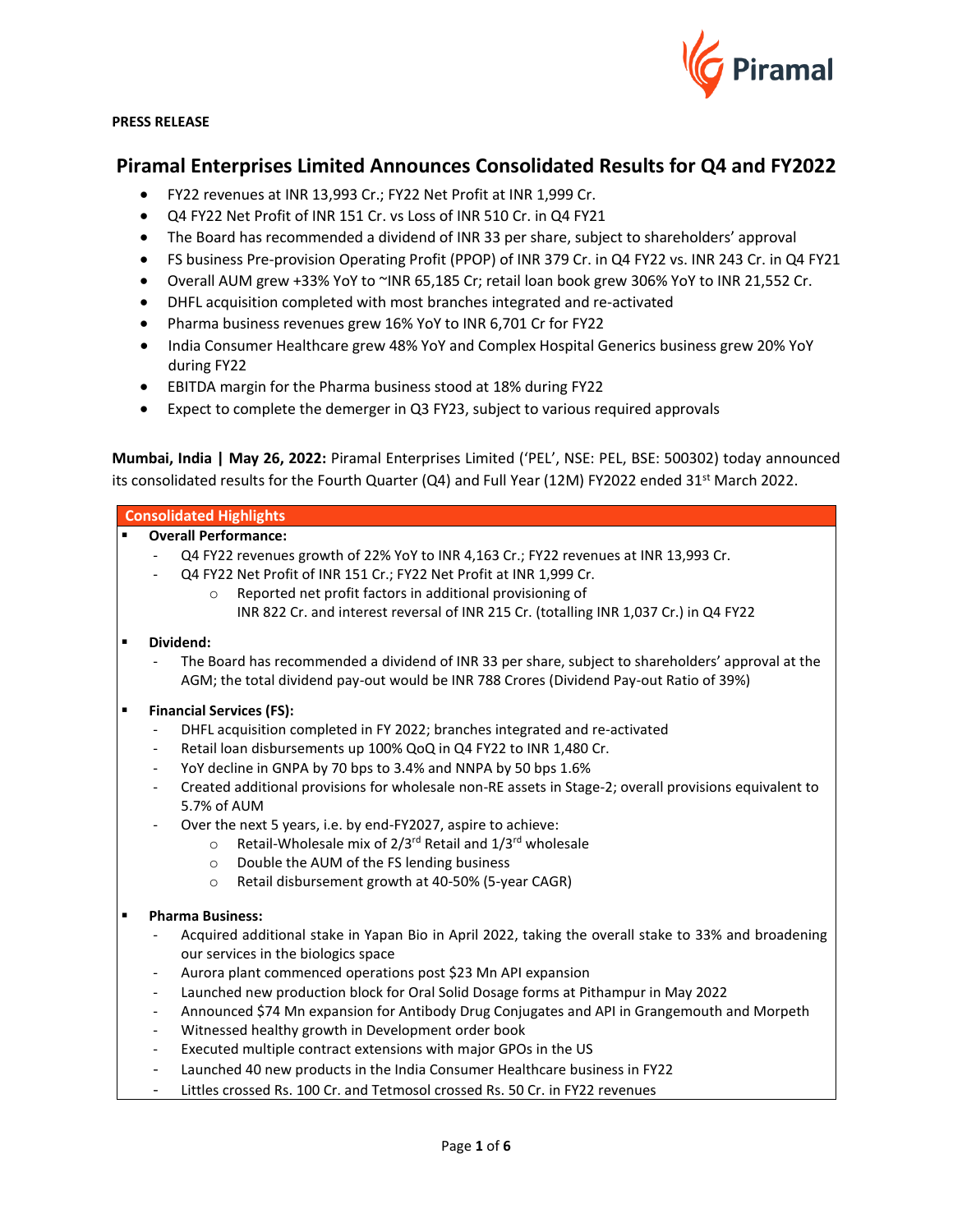

### **PRESS RELEASE**

# **Piramal Enterprises Limited Announces Consolidated Results for Q4 and FY2022**

- FY22 revenues at INR 13,993 Cr.; FY22 Net Profit at INR 1,999 Cr.
- Q4 FY22 Net Profit of INR 151 Cr. vs Loss of INR 510 Cr. in Q4 FY21
- The Board has recommended a dividend of INR 33 per share, subject to shareholders' approval
- FS business Pre-provision Operating Profit (PPOP) of INR 379 Cr. in Q4 FY22 vs. INR 243 Cr. in Q4 FY21
- Overall AUM grew +33% YoY to ~INR 65,185 Cr; retail loan book grew 306% YoY to INR 21,552 Cr.
- DHFL acquisition completed with most branches integrated and re-activated
- Pharma business revenues grew 16% YoY to INR 6,701 Cr for FY22
- India Consumer Healthcare grew 48% YoY and Complex Hospital Generics business grew 20% YoY during FY22
- EBITDA margin for the Pharma business stood at 18% during FY22
- Expect to complete the demerger in Q3 FY23, subject to various required approvals

**Mumbai, India | May 26, 2022:** Piramal Enterprises Limited ('PEL', NSE: PEL, BSE: 500302) today announced its consolidated results for the Fourth Quarter (Q4) and Full Year (12M) FY2022 ended 31<sup>st</sup> March 2022.

# **Consolidated Highlights** ▪ **Overall Performance:** Q4 FY22 revenues growth of 22% YoY to INR 4,163 Cr.; FY22 revenues at INR 13,993 Cr. - Q4 FY22 Net Profit of INR 151 Cr.; FY22 Net Profit at INR 1,999 Cr. o Reported net profit factors in additional provisioning of INR 822 Cr. and interest reversal of INR 215 Cr. (totalling INR 1,037 Cr.) in Q4 FY22

# Dividend:

The Board has recommended a dividend of INR 33 per share, subject to shareholders' approval at the AGM; the total dividend pay-out would be INR 788 Crores (Dividend Pay-out Ratio of 39%)

# **Financial Services (FS):**

- DHFL acquisition completed in FY 2022; branches integrated and re-activated
- Retail loan disbursements up 100% QoQ in Q4 FY22 to INR 1,480 Cr.
- YoY decline in GNPA by 70 bps to 3.4% and NNPA by 50 bps 1.6%
- Created additional provisions for wholesale non-RE assets in Stage-2; overall provisions equivalent to 5.7% of AUM
- Over the next 5 years, i.e. by end-FY2027, aspire to achieve:
	- $\circ$  Retail-Wholesale mix of 2/3<sup>rd</sup> Retail and 1/3<sup>rd</sup> wholesale
	- o Double the AUM of the FS lending business
	- o Retail disbursement growth at 40-50% (5-year CAGR)

# ▪ **Pharma Business:**

- Acquired additional stake in Yapan Bio in April 2022, taking the overall stake to 33% and broadening our services in the biologics space
- Aurora plant commenced operations post \$23 Mn API expansion
- Launched new production block for Oral Solid Dosage forms at Pithampur in May 2022
- Announced \$74 Mn expansion for Antibody Drug Conjugates and API in Grangemouth and Morpeth
- Witnessed healthy growth in Development order book
- Executed multiple contract extensions with major GPOs in the US
- Launched 40 new products in the India Consumer Healthcare business in FY22
- Littles crossed Rs. 100 Cr. and Tetmosol crossed Rs. 50 Cr. in FY22 revenues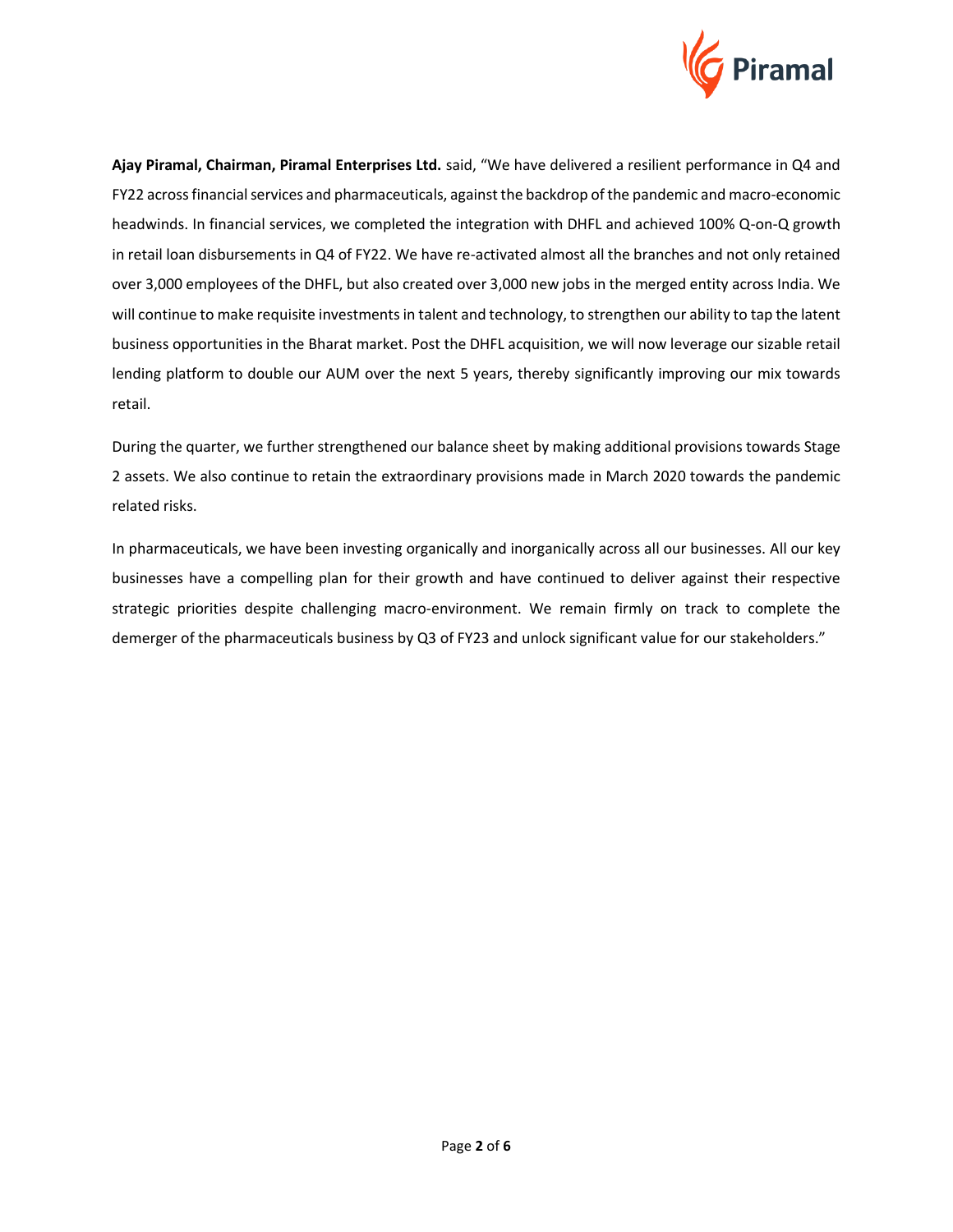

**Ajay Piramal, Chairman, Piramal Enterprises Ltd.** said, "We have delivered a resilient performance in Q4 and FY22 across financial services and pharmaceuticals, against the backdrop of the pandemic and macro-economic headwinds. In financial services, we completed the integration with DHFL and achieved 100% Q-on-Q growth in retail loan disbursements in Q4 of FY22. We have re-activated almost all the branches and not only retained over 3,000 employees of the DHFL, but also created over 3,000 new jobs in the merged entity across India. We will continue to make requisite investments in talent and technology, to strengthen our ability to tap the latent business opportunities in the Bharat market. Post the DHFL acquisition, we will now leverage our sizable retail lending platform to double our AUM over the next 5 years, thereby significantly improving our mix towards retail.

During the quarter, we further strengthened our balance sheet by making additional provisions towards Stage 2 assets. We also continue to retain the extraordinary provisions made in March 2020 towards the pandemic related risks.

In pharmaceuticals, we have been investing organically and inorganically across all our businesses. All our key businesses have a compelling plan for their growth and have continued to deliver against their respective strategic priorities despite challenging macro-environment. We remain firmly on track to complete the demerger of the pharmaceuticals business by Q3 of FY23 and unlock significant value for our stakeholders."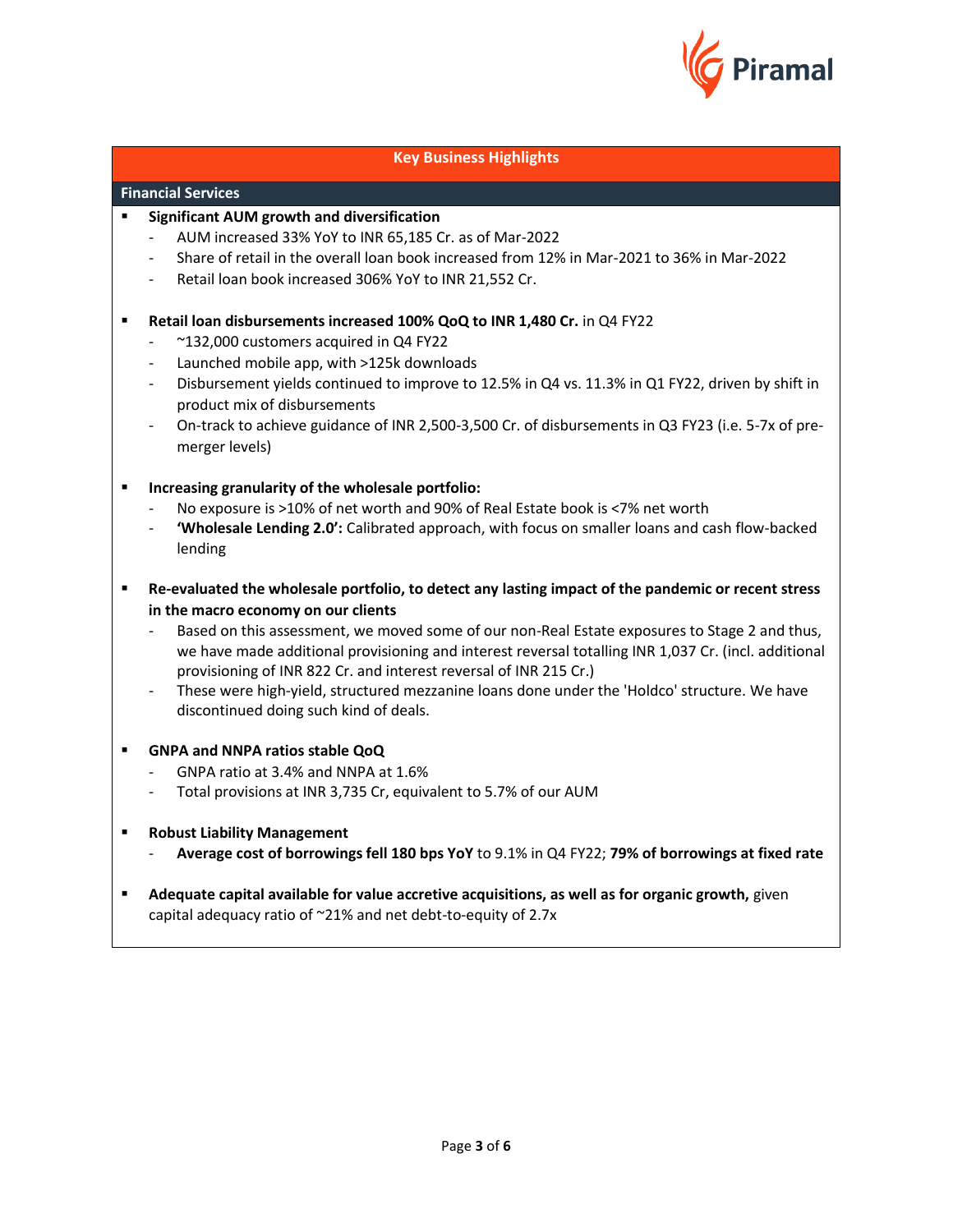

# **Key Business Highlights**

# **Financial Services**

- **Significant AUM growth and diversification** 
	- AUM increased 33% YoY to INR 65,185 Cr. as of Mar-2022
	- Share of retail in the overall loan book increased from 12% in Mar-2021 to 36% in Mar-2022
	- Retail loan book increased 306% YoY to INR 21,552 Cr.
- **Retail loan disbursements increased 100% QoQ to INR 1,480 Cr.** in Q4 FY22
	- ~132,000 customers acquired in Q4 FY22
	- Launched mobile app, with >125k downloads
	- Disbursement yields continued to improve to 12.5% in Q4 vs. 11.3% in Q1 FY22, driven by shift in product mix of disbursements
	- On-track to achieve guidance of INR 2,500-3,500 Cr. of disbursements in Q3 FY23 (i.e. 5-7x of premerger levels)
- **Increasing granularity of the wholesale portfolio:**
	- No exposure is >10% of net worth and 90% of Real Estate book is <7% net worth
	- **'Wholesale Lending 2.0':** Calibrated approach, with focus on smaller loans and cash flow-backed lending
- **Re-evaluated the wholesale portfolio, to detect any lasting impact of the pandemic or recent stress in the macro economy on our clients**
	- Based on this assessment, we moved some of our non-Real Estate exposures to Stage 2 and thus, we have made additional provisioning and interest reversal totalling INR 1,037 Cr. (incl. additional provisioning of INR 822 Cr. and interest reversal of INR 215 Cr.)
	- These were high-yield, structured mezzanine loans done under the 'Holdco' structure. We have discontinued doing such kind of deals.
- **GNPA and NNPA ratios stable QoQ**
	- GNPA ratio at 3.4% and NNPA at 1.6%
	- Total provisions at INR 3,735 Cr, equivalent to 5.7% of our AUM
- **Robust Liability Management**
	- **Average cost of borrowings fell 180 bps YoY** to 9.1% in Q4 FY22; **79% of borrowings at fixed rate**
- **EXED Adequate capital available for value accretive acquisitions, as well as for organic growth, given** capital adequacy ratio of ~21% and net debt-to-equity of 2.7x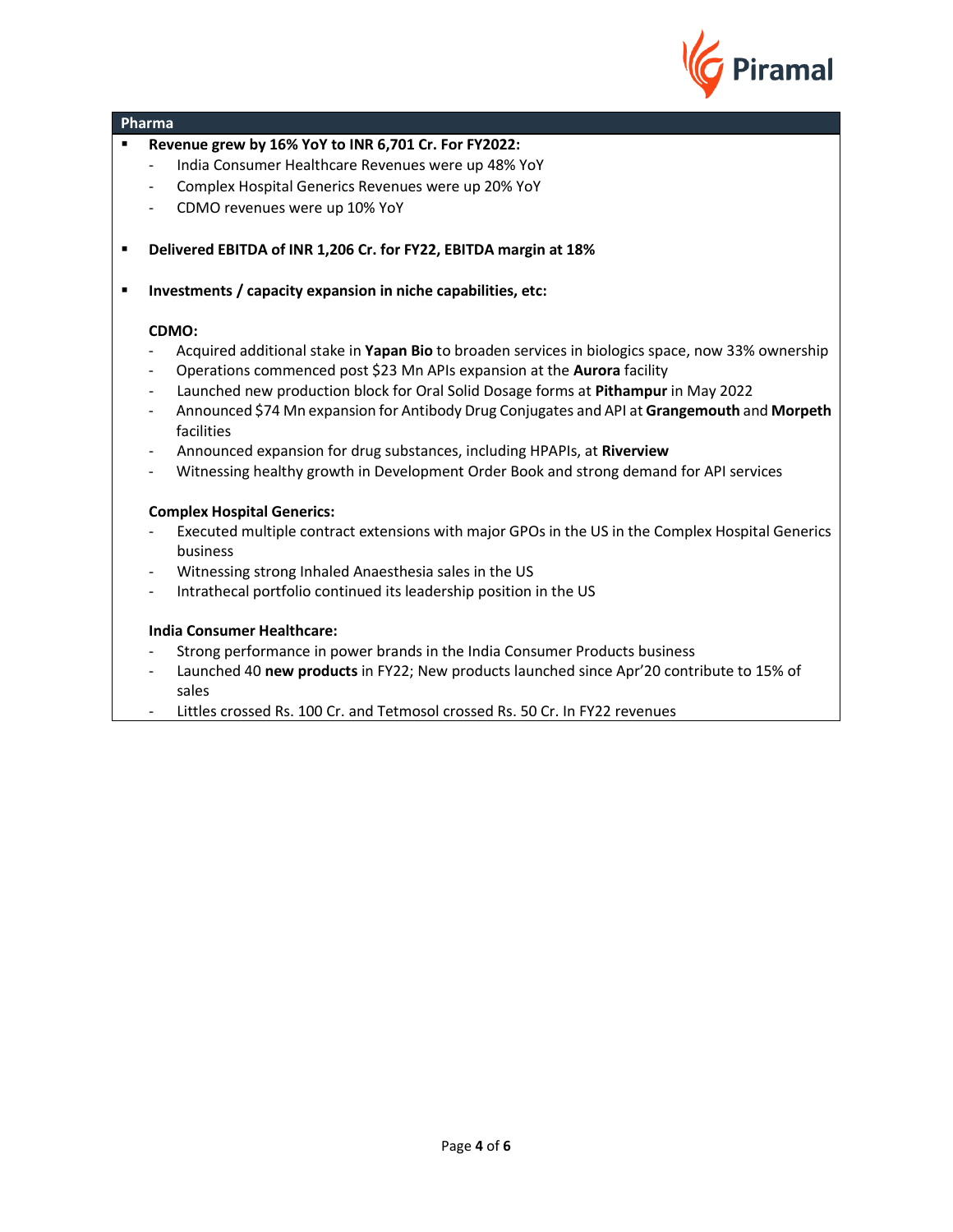

- **Revenue grew by 16% YoY to INR 6,701 Cr. For FY2022:**
	- India Consumer Healthcare Revenues were up 48% YoY
	- Complex Hospital Generics Revenues were up 20% YoY
	- CDMO revenues were up 10% YoY
- **Delivered EBITDA of INR 1,206 Cr. for FY22, EBITDA margin at 18%**

▪ **Investments / capacity expansion in niche capabilities, etc:** 

# **CDMO:**

- Acquired additional stake in **Yapan Bio** to broaden services in biologics space, now 33% ownership
- Operations commenced post \$23 Mn APIs expansion at the **Aurora** facility
- Launched new production block for Oral Solid Dosage forms at **Pithampur** in May 2022
- Announced \$74 Mn expansion for Antibody Drug Conjugates and API at **Grangemouth** and **Morpeth** facilities
- Announced expansion for drug substances, including HPAPIs, at **Riverview**
- Witnessing healthy growth in Development Order Book and strong demand for API services

### **Complex Hospital Generics:**

- Executed multiple contract extensions with major GPOs in the US in the Complex Hospital Generics business
- Witnessing strong Inhaled Anaesthesia sales in the US
- Intrathecal portfolio continued its leadership position in the US

# **India Consumer Healthcare:**

- Strong performance in power brands in the India Consumer Products business
- Launched 40 **new products** in FY22; New products launched since Apr'20 contribute to 15% of sales
- Littles crossed Rs. 100 Cr. and Tetmosol crossed Rs. 50 Cr. In FY22 revenues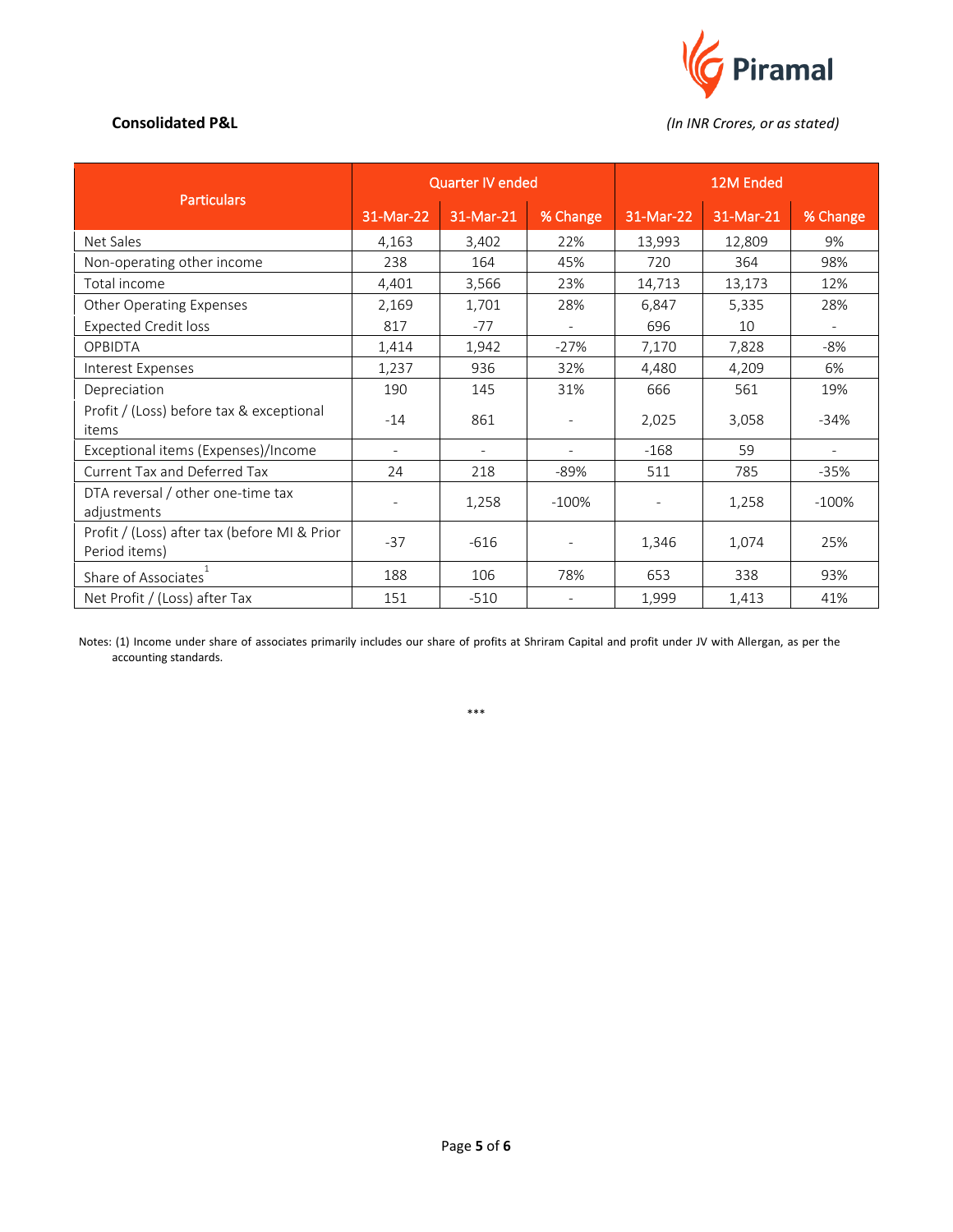

**Consolidated P&L** *(In INR Crores, or as stated)*

| <b>Particulars</b>                                            | <b>Quarter IV ended</b>  |           |                          | 12M Ended                |           |                          |
|---------------------------------------------------------------|--------------------------|-----------|--------------------------|--------------------------|-----------|--------------------------|
|                                                               | 31-Mar-22                | 31-Mar-21 | % Change                 | 31-Mar-22                | 31-Mar-21 | % Change                 |
| Net Sales                                                     | 4,163                    | 3,402     | 22%                      | 13,993                   | 12,809    | 9%                       |
| Non-operating other income                                    | 238                      | 164       | 45%                      | 720                      | 364       | 98%                      |
| Total income                                                  | 4,401                    | 3,566     | 23%                      | 14,713                   | 13,173    | 12%                      |
| Other Operating Expenses                                      | 2,169                    | 1,701     | 28%                      | 6,847                    | 5,335     | 28%                      |
| <b>Expected Credit loss</b>                                   | 817                      | $-77$     | $\overline{\phantom{a}}$ | 696                      | 10        |                          |
| <b>OPBIDTA</b>                                                | 1,414                    | 1,942     | $-27%$                   | 7,170                    | 7,828     | $-8%$                    |
| Interest Expenses                                             | 1,237                    | 936       | 32%                      | 4,480                    | 4,209     | 6%                       |
| Depreciation                                                  | 190                      | 145       | 31%                      | 666                      | 561       | 19%                      |
| Profit / (Loss) before tax & exceptional<br>items             | $-14$                    | 861       | $\overline{\phantom{a}}$ | 2,025                    | 3,058     | $-34%$                   |
| Exceptional items (Expenses)/Income                           |                          |           | $\blacksquare$           | $-168$                   | 59        | $\overline{\phantom{a}}$ |
| <b>Current Tax and Deferred Tax</b>                           | 24                       | 218       | $-89%$                   | 511                      | 785       | -35%                     |
| DTA reversal / other one-time tax<br>adjustments              | $\overline{\phantom{a}}$ | 1,258     | $-100%$                  | $\overline{\phantom{a}}$ | 1,258     | $-100%$                  |
| Profit / (Loss) after tax (before MI & Prior<br>Period items) | $-37$                    | $-616$    |                          | 1,346                    | 1,074     | 25%                      |
| Share of Associates                                           | 188                      | 106       | 78%                      | 653                      | 338       | 93%                      |
| Net Profit / (Loss) after Tax                                 | 151                      | $-510$    | $\overline{\phantom{a}}$ | 1,999                    | 1,413     | 41%                      |

Notes: (1) Income under share of associates primarily includes our share of profits at Shriram Capital and profit under JV with Allergan, as per the accounting standards.

\*\*\*